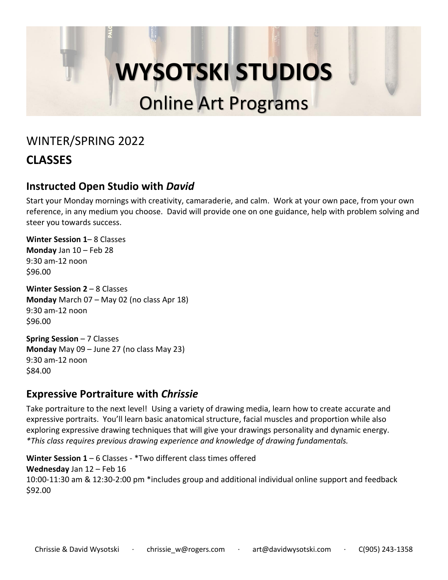### WINTER/SPRING 2022

### **CLASSES**

#### **Instructed Open Studio with** *David*

Start your Monday mornings with creativity, camaraderie, and calm. Work at your own pace, from your own reference, in any medium you choose. David will provide one on one guidance, help with problem solving and steer you towards success.

**Winter Session 1**– 8 Classes **Monday** Jan 10 – Feb 28 9:30 am-12 noon \$96.00

**Winter Session 2** – 8 Classes **Monday** March 07 – May 02 (no class Apr 18) 9:30 am-12 noon \$96.00

**Spring Session** – 7 Classes **Monday** May 09 – June 27 (no class May 23) 9:30 am-12 noon \$84.00

#### **Expressive Portraiture with** *Chrissie*

Take portraiture to the next level! Using a variety of drawing media, learn how to create accurate and expressive portraits. You'll learn basic anatomical structure, facial muscles and proportion while also exploring expressive drawing techniques that will give your drawings personality and dynamic energy. *\*This class requires previous drawing experience and knowledge of drawing fundamentals.*

**Winter Session 1** – 6 Classes - \*Two different class times offered **Wednesday** Jan 12 – Feb 16 10:00-11:30 am & 12:30-2:00 pm \*includes group and additional individual online support and feedback \$92.00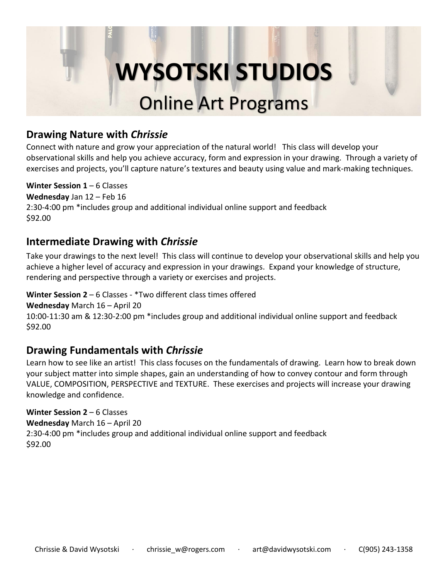#### **Drawing Nature with** *Chrissie*

Connect with nature and grow your appreciation of the natural world! This class will develop your observational skills and help you achieve accuracy, form and expression in your drawing. Through a variety of exercises and projects, you'll capture nature's textures and beauty using value and mark-making techniques.

#### **Winter Session 1** – 6 Classes

**Wednesday** Jan 12 – Feb 16 2:30-4:00 pm \*includes group and additional individual online support and feedback \$92.00

#### **Intermediate Drawing with** *Chrissie*

Take your drawings to the next level! This class will continue to develop your observational skills and help you achieve a higher level of accuracy and expression in your drawings. Expand your knowledge of structure, rendering and perspective through a variety or exercises and projects.

#### **Winter Session 2** – 6 Classes - \*Two different class times offered

**Wednesday** March 16 – April 20

10:00-11:30 am & 12:30-2:00 pm \*includes group and additional individual online support and feedback \$92.00

#### **Drawing Fundamentals with** *Chrissie*

Learn how to see like an artist! This class focuses on the fundamentals of drawing. Learn how to break down your subject matter into simple shapes, gain an understanding of how to convey contour and form through VALUE, COMPOSITION, PERSPECTIVE and TEXTURE. These exercises and projects will increase your drawing knowledge and confidence.

#### **Winter Session 2** – 6 Classes

**Wednesday** March 16 – April 20 2:30-4:00 pm \*includes group and additional individual online support and feedback \$92.00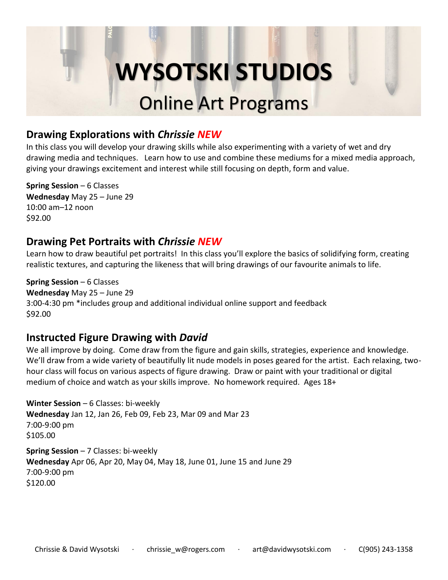#### **Drawing Explorations with** *Chrissie NEW*

In this class you will develop your drawing skills while also experimenting with a variety of wet and dry drawing media and techniques. Learn how to use and combine these mediums for a mixed media approach, giving your drawings excitement and interest while still focusing on depth, form and value.

**Spring Session** – 6 Classes **Wednesday** May 25 – June 29 10:00 am–12 noon \$92.00

#### **Drawing Pet Portraits with** *Chrissie NEW*

Learn how to draw beautiful pet portraits! In this class you'll explore the basics of solidifying form, creating realistic textures, and capturing the likeness that will bring drawings of our favourite animals to life.

**Spring Session** – 6 Classes **Wednesday** May 25 – June 29 3:00-4:30 pm \*includes group and additional individual online support and feedback \$92.00

#### **Instructed Figure Drawing with** *David*

We all improve by doing. Come draw from the figure and gain skills, strategies, experience and knowledge. We'll draw from a wide variety of beautifully lit nude models in poses geared for the artist. Each relaxing, twohour class will focus on various aspects of figure drawing. Draw or paint with your traditional or digital medium of choice and watch as your skills improve. No homework required. Ages 18+

**Winter Session** – 6 Classes: bi-weekly **Wednesday** Jan 12, Jan 26, Feb 09, Feb 23, Mar 09 and Mar 23 7:00-9:00 pm \$105.00

**Spring Session** – 7 Classes: bi-weekly **Wednesday** Apr 06, Apr 20, May 04, May 18, June 01, June 15 and June 29 7:00-9:00 pm \$120.00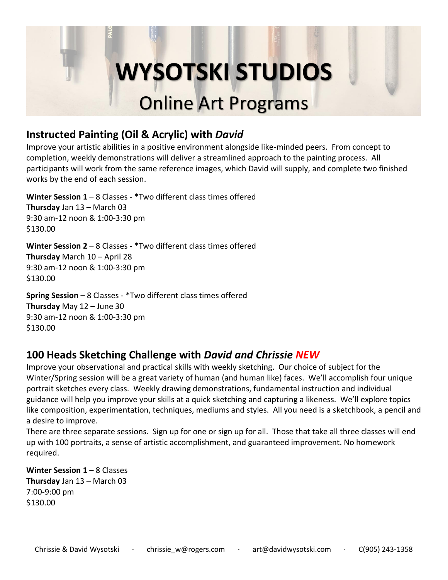#### **Instructed Painting (Oil & Acrylic) with** *David*

Improve your artistic abilities in a positive environment alongside like-minded peers. From concept to completion, weekly demonstrations will deliver a streamlined approach to the painting process. All participants will work from the same reference images, which David will supply, and complete two finished works by the end of each session.

**Winter Session 1** – 8 Classes - \*Two different class times offered **Thursday** Jan 13 – March 03 9:30 am-12 noon & 1:00-3:30 pm \$130.00

**Winter Session 2** – 8 Classes - \*Two different class times offered **Thursday** March 10 – April 28 9:30 am-12 noon & 1:00-3:30 pm \$130.00

**Spring Session** – 8 Classes - \*Two different class times offered **Thursday** May 12 – June 30 9:30 am-12 noon & 1:00-3:30 pm \$130.00

#### **100 Heads Sketching Challenge with** *David and Chrissie NEW*

Improve your observational and practical skills with weekly sketching. Our choice of subject for the Winter/Spring session will be a great variety of human (and human like) faces. We'll accomplish four unique portrait sketches every class. Weekly drawing demonstrations, fundamental instruction and individual guidance will help you improve your skills at a quick sketching and capturing a likeness. We'll explore topics like composition, experimentation, techniques, mediums and styles. All you need is a sketchbook, a pencil and a desire to improve.

There are three separate sessions. Sign up for one or sign up for all. Those that take all three classes will end up with 100 portraits, a sense of artistic accomplishment, and guaranteed improvement. No homework required.

**Winter Session 1** – 8 Classes **Thursday** Jan 13 – March 03 7:00-9:00 pm \$130.00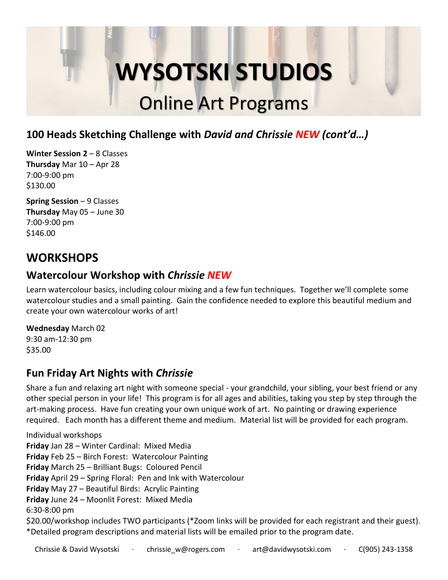#### **100 Heads Sketching Challenge with** *David and Chrissie NEW (cont'd…)*

**Winter Session 2** – 8 Classes **Thursday** Mar 10 – Apr 28 7:00-9:00 pm \$130.00

**Spring Session** – 9 Classes **Thursday** May 05 – June 30 7:00-9:00 pm \$146.00

### **WORKSHOPS**

#### **Watercolour Workshop with** *Chrissie NEW*

Learn watercolour basics, including colour mixing and a few fun techniques. Together we'll complete some watercolour studies and a small painting. Gain the confidence needed to explore this beautiful medium and create your own watercolour works of art!

**Wednesday** March 02 9:30 am-12:30 pm \$35.00

#### **Fun Friday Art Nights with** *Chrissie*

Share a fun and relaxing art night with someone special - your grandchild, your sibling, your best friend or any other special person in your life! This program is for all ages and abilities, taking you step by step through the art-making process. Have fun creating your own unique work of art. No painting or drawing experience required. Each month has a different theme and medium. Material list will be provided for each program.

Individual workshops **Friday** Jan 28 – Winter Cardinal: Mixed Media **Friday** Feb 25 – Birch Forest: Watercolour Painting **Friday** March 25 – Brilliant Bugs: Coloured Pencil **Friday** April 29 – Spring Floral: Pen and Ink with Watercolour **Friday** May 27 – Beautiful Birds: Acrylic Painting **Friday** June 24 – Moonlit Forest: Mixed Media 6:30-8:00 pm \$20.00/workshop includes TWO participants (\*Zoom links will be provided for each registrant and their guest). \*Detailed program descriptions and material lists will be emailed prior to the program date.